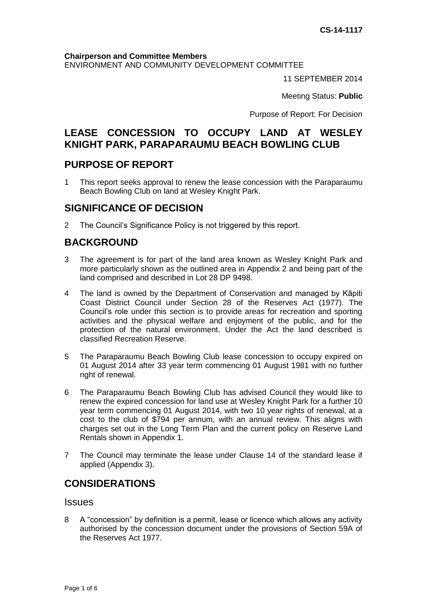#### **Chairperson and Committee Members**

ENVIRONMENT AND COMMUNITY DEVELOPMENT COMMITTEE

11 SEPTEMBER 2014

Meeting Status: **Public**

Purpose of Report: For Decision

## **LEASE CONCESSION TO OCCUPY LAND AT WESLEY KNIGHT PARK, PARAPARAUMU BEACH BOWLING CLUB**

### **PURPOSE OF REPORT**

1 This report seeks approval to renew the lease concession with the Paraparaumu Beach Bowling Club on land at Wesley Knight Park.

### **SIGNIFICANCE OF DECISION**

2 The Council's Significance Policy is not triggered by this report.

## **BACKGROUND**

- 3 The agreement is for part of the land area known as Wesley Knight Park and more particularly shown as the outlined area in Appendix 2 and being part of the land comprised and described in Lot 28 DP 9498.
- 4 The land is owned by the Department of Conservation and managed by Kāpiti Coast District Council under Section 28 of the Reserves Act (1977). The Council's role under this section is to provide areas for recreation and sporting activities and the physical welfare and enjoyment of the public, and for the protection of the natural environment. Under the Act the land described is classified Recreation Reserve.
- 5 The Paraparaumu Beach Bowling Club lease concession to occupy expired on 01 August 2014 after 33 year term commencing 01 August 1981 with no further right of renewal.
- 6 The Paraparaumu Beach Bowling Club has advised Council they would like to renew the expired concession for land use at Wesley Knight Park for a further 10 year term commencing 01 August 2014, with two 10 year rights of renewal, at a cost to the club of \$794 per annum, with an annual review. This aligns with charges set out in the Long Term Plan and the current policy on Reserve Land Rentals shown in Appendix 1.
- 7 The Council may terminate the lease under Clause 14 of the standard lease if applied (Appendix 3).

# **CONSIDERATIONS**

#### **Issues**

8 A "concession" by definition is a permit, lease or licence which allows any activity authorised by the concession document under the provisions of Section 59A of the Reserves Act 1977.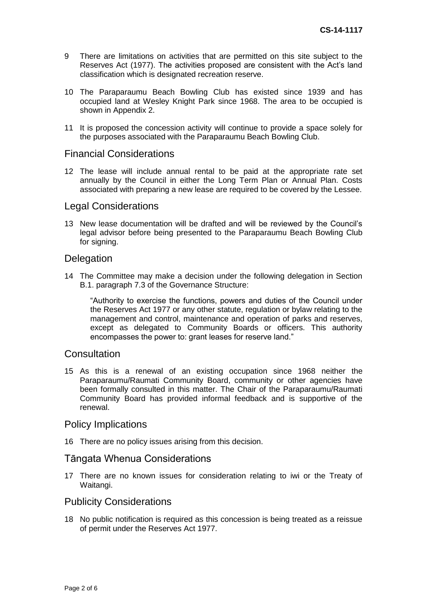- 9 There are limitations on activities that are permitted on this site subject to the Reserves Act (1977). The activities proposed are consistent with the Act's land classification which is designated recreation reserve.
- 10 The Paraparaumu Beach Bowling Club has existed since 1939 and has occupied land at Wesley Knight Park since 1968. The area to be occupied is shown in Appendix 2.
- 11 It is proposed the concession activity will continue to provide a space solely for the purposes associated with the Paraparaumu Beach Bowling Club.

### Financial Considerations

12 The lease will include annual rental to be paid at the appropriate rate set annually by the Council in either the Long Term Plan or Annual Plan. Costs associated with preparing a new lease are required to be covered by the Lessee.

### Legal Considerations

13 New lease documentation will be drafted and will be reviewed by the Council's legal advisor before being presented to the Paraparaumu Beach Bowling Club for signing.

### **Delegation**

14 The Committee may make a decision under the following delegation in Section B.1. paragraph 7.3 of the Governance Structure:

"Authority to exercise the functions, powers and duties of the Council under the Reserves Act 1977 or any other statute, regulation or bylaw relating to the management and control, maintenance and operation of parks and reserves, except as delegated to Community Boards or officers. This authority encompasses the power to: grant leases for reserve land."

#### **Consultation**

15 As this is a renewal of an existing occupation since 1968 neither the Paraparaumu/Raumati Community Board, community or other agencies have been formally consulted in this matter. The Chair of the Paraparaumu/Raumati Community Board has provided informal feedback and is supportive of the renewal.

#### Policy Implications

16 There are no policy issues arising from this decision.

#### Tāngata Whenua Considerations

17 There are no known issues for consideration relating to iwi or the Treaty of Waitangi.

### Publicity Considerations

18 No public notification is required as this concession is being treated as a reissue of permit under the Reserves Act 1977.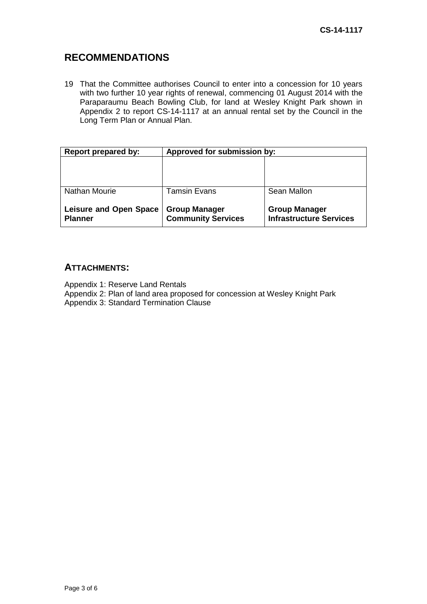## **RECOMMENDATIONS**

19 That the Committee authorises Council to enter into a concession for 10 years with two further 10 year rights of renewal, commencing 01 August 2014 with the Paraparaumu Beach Bowling Club, for land at Wesley Knight Park shown in Appendix 2 to report CS-14-1117 at an annual rental set by the Council in the Long Term Plan or Annual Plan.

| <b>Report prepared by:</b>                      | Approved for submission by:                       |                                                        |
|-------------------------------------------------|---------------------------------------------------|--------------------------------------------------------|
|                                                 |                                                   |                                                        |
| Nathan Mourie                                   | <b>Tamsin Evans</b>                               | Sean Mallon                                            |
| <b>Leisure and Open Space</b><br><b>Planner</b> | <b>Group Manager</b><br><b>Community Services</b> | <b>Group Manager</b><br><b>Infrastructure Services</b> |

### **ATTACHMENTS:**

Appendix 1: Reserve Land Rentals

Appendix 2: Plan of land area proposed for concession at Wesley Knight Park Appendix 3: Standard Termination Clause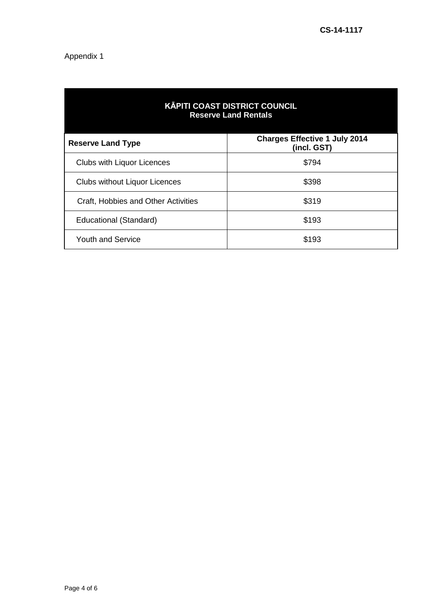# Appendix 1

| <b>KĀPITI COAST DISTRICT COUNCIL</b><br><b>Reserve Land Rentals</b> |                                                     |  |  |
|---------------------------------------------------------------------|-----------------------------------------------------|--|--|
| <b>Reserve Land Type</b>                                            | <b>Charges Effective 1 July 2014</b><br>(incl. GST) |  |  |
| <b>Clubs with Liquor Licences</b>                                   | \$794                                               |  |  |
| <b>Clubs without Liquor Licences</b>                                | \$398                                               |  |  |
| Craft, Hobbies and Other Activities                                 | \$319                                               |  |  |
| Educational (Standard)                                              | \$193                                               |  |  |
| <b>Youth and Service</b>                                            | \$193                                               |  |  |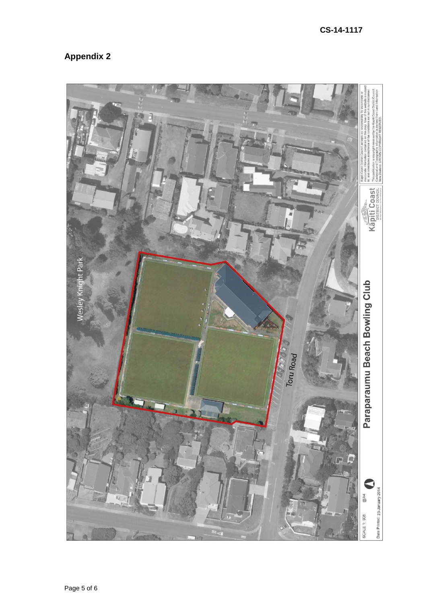